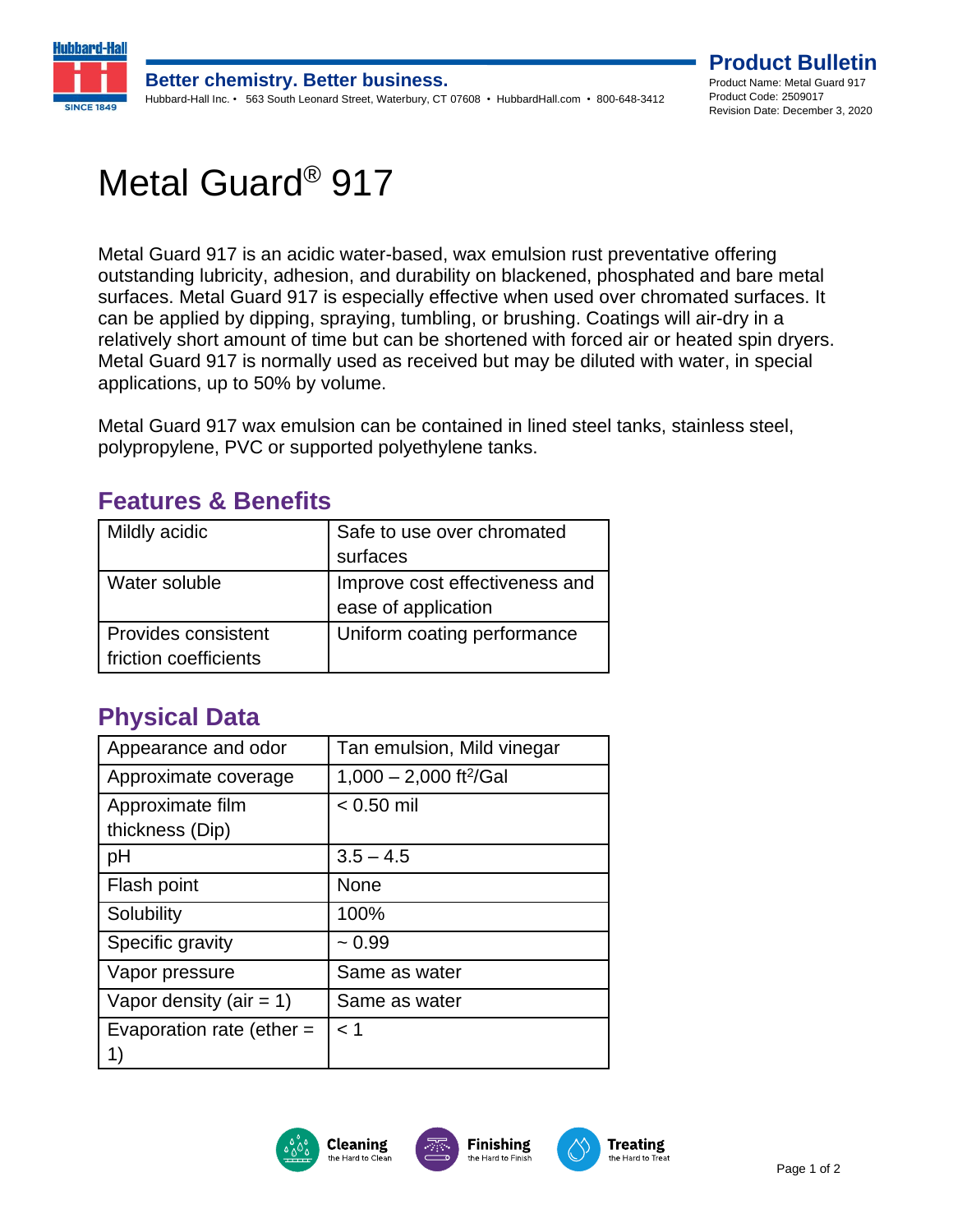

# Metal Guard® 917

Metal Guard 917 is an acidic water-based, wax emulsion rust preventative offering outstanding lubricity, adhesion, and durability on blackened, phosphated and bare metal surfaces. Metal Guard 917 is especially effective when used over chromated surfaces. It can be applied by dipping, spraying, tumbling, or brushing. Coatings will air-dry in a relatively short amount of time but can be shortened with forced air or heated spin dryers. Metal Guard 917 is normally used as received but may be diluted with water, in special applications, up to 50% by volume.

Metal Guard 917 wax emulsion can be contained in lined steel tanks, stainless steel, polypropylene, PVC or supported polyethylene tanks.

| Mildly acidic                                | Safe to use over chromated<br>surfaces                |
|----------------------------------------------|-------------------------------------------------------|
| Water soluble                                | Improve cost effectiveness and<br>ease of application |
| Provides consistent<br>friction coefficients | Uniform coating performance                           |

### **Features & Benefits**

### **Physical Data**

| Appearance and odor         | Tan emulsion, Mild vinegar         |
|-----------------------------|------------------------------------|
| Approximate coverage        | 1,000 - 2,000 ft <sup>2</sup> /Gal |
| Approximate film            | $< 0.50$ mil                       |
| thickness (Dip)             |                                    |
| рH                          | $3.5 - 4.5$                        |
| Flash point                 | None                               |
| Solubility                  | 100%                               |
| Specific gravity            | $~1$ 0.99                          |
| Vapor pressure              | Same as water                      |
| Vapor density (air = 1)     | Same as water                      |
| Evaporation rate (ether $=$ | < 1                                |
| 1)                          |                                    |